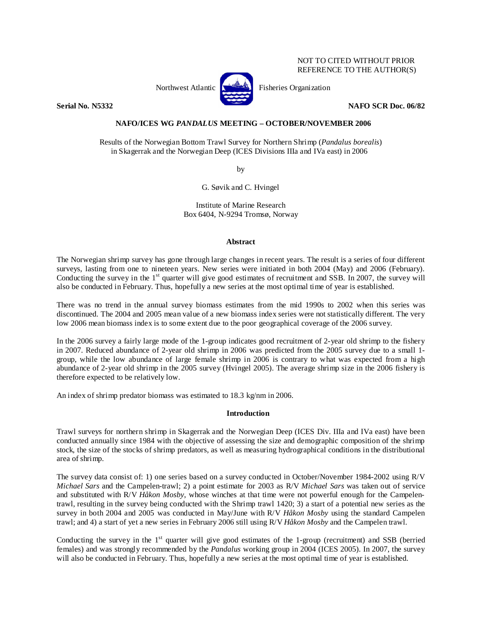# NOT TO CITED WITHOUT PRIOR REFERENCE TO THE AUTHOR(S)



Northwest Atlantic **No. 3. Expansion** Fisheries Organization

**Serial No. N5332 NAFO SCR Doc. 06/82** 

# **NAFO/ICES WG** *PANDALUS* **MEETING – OCTOBER/NOVEMBER 2006**

Results of the Norwegian Bottom Trawl Survey for Northern Shrimp (*Pandalus borealis*) in Skagerrak and the Norwegian Deep (ICES Divisions IIIa and IVa east) in 2006

by

G. Søvik and C. Hvingel

Institute of Marine Research Box 6404, N-9294 Tromsø, Norway

## **Abstract**

The Norwegian shrimp survey has gone through large changes in recent years. The result is a series of four different surveys, lasting from one to nineteen years. New series were initiated in both 2004 (May) and 2006 (February). Conducting the survey in the  $1<sup>st</sup>$  quarter will give good estimates of recruitment and SSB. In 2007, the survey will also be conducted in February. Thus, hopefully a new series at the most optimal time of year is established.

There was no trend in the annual survey biomass estimates from the mid 1990s to 2002 when this series was discontinued. The 2004 and 2005 mean value of a new biomass index series were not statistically different. The very low 2006 mean biomass index is to some extent due to the poor geographical coverage of the 2006 survey.

In the 2006 survey a fairly large mode of the 1-group indicates good recruitment of 2-year old shrimp to the fishery in 2007. Reduced abundance of 2-year old shrimp in 2006 was predicted from the 2005 survey due to a small 1 group, while the low abundance of large female shrimp in 2006 is contrary to what was expected from a high abundance of 2-year old shrimp in the 2005 survey (Hvingel 2005). The average shrimp size in the 2006 fishery is therefore expected to be relatively low.

An index of shrimp predator biomass was estimated to 18.3 kg/nm in 2006.

# **Introduction**

Trawl surveys for northern shrimp in Skagerrak and the Norwegian Deep (ICES Div. IIIa and IVa east) have been conducted annually since 1984 with the objective of assessing the size and demographic composition of the shrimp stock, the size of the stocks of shrimp predators, as well as measuring hydrographical conditions in the distributional area of shrimp.

The survey data consist of: 1) one series based on a survey conducted in October/November 1984-2002 using R/V *Michael Sars* and the Campelen-trawl; 2) a point estimate for 2003 as R/V *Michael Sars* was taken out of service and substituted with R/V *Håkon Mosby*, whose winches at that time were not powerful enough for the Campelentrawl, resulting in the survey being conducted with the Shrimp trawl 1420; 3) a start of a potential new series as the survey in both 2004 and 2005 was conducted in May/June with R/V *Håkon Mosby* using the standard Campelen trawl; and 4) a start of yet a new series in February 2006 still using R/V *Håkon Mosby* and the Campelen trawl.

Conducting the survey in the  $1<sup>st</sup>$  quarter will give good estimates of the 1-group (recruitment) and SSB (berried females) and was strongly recommended by the *Pandalus* working group in 2004 (ICES 2005). In 2007, the survey will also be conducted in February. Thus, hopefully a new series at the most optimal time of year is established.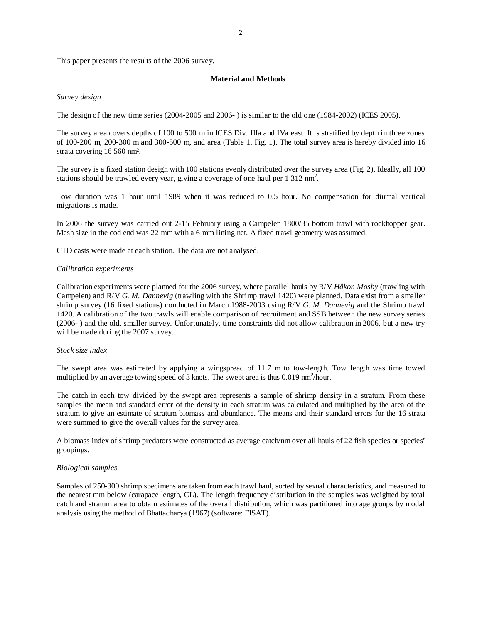This paper presents the results of the 2006 survey.

### **Material and Methods**

### *Survey design*

The design of the new time series (2004-2005 and 2006- ) is similar to the old one (1984-2002) (ICES 2005).

The survey area covers depths of 100 to 500 m in ICES Div. IIIa and IVa east. It is stratified by depth in three zones of 100-200 m, 200-300 m and 300-500 m, and area (Table 1, Fig. 1). The total survey area is hereby divided into 16 strata covering 16 560 nm².

The survey is a fixed station design with 100 stations evenly distributed over the survey area (Fig. 2). Ideally, all 100 stations should be trawled every year, giving a coverage of one haul per  $1\,312\,\text{nm}^2$ .

Tow duration was 1 hour until 1989 when it was reduced to 0.5 hour. No compensation for diurnal vertical migrations is made.

In 2006 the survey was carried out 2-15 February using a Campelen 1800/35 bottom trawl with rockhopper gear. Mesh size in the cod end was 22 mm with a 6 mm lining net. A fixed trawl geometry was assumed.

CTD casts were made at each station. The data are not analysed.

### *Calibration experiments*

Calibration experiments were planned for the 2006 survey, where parallel hauls by R/V *Håkon Mosby* (trawling with Campelen) and R/V *G. M. Dannevig* (trawling with the Shrimp trawl 1420) were planned. Data exist from a smaller shrimp survey (16 fixed stations) conducted in March 1988-2003 using R/V *G. M. Dannevig* and the Shrimp trawl 1420. A calibration of the two trawls will enable comparison of recruitment and SSB between the new survey series (2006- ) and the old, smaller survey. Unfortunately, time constraints did not allow calibration in 2006, but a new try will be made during the 2007 survey.

### *Stock size index*

The swept area was estimated by applying a wingspread of 11.7 m to tow-length. Tow length was time towed multiplied by an average towing speed of 3 knots. The swept area is thus  $0.019 \text{ nm}^2/\text{hour}$ .

The catch in each tow divided by the swept area represents a sample of shrimp density in a stratum. From these samples the mean and standard error of the density in each stratum was calculated and multiplied by the area of the stratum to give an estimate of stratum biomass and abundance. The means and their standard errors for the 16 strata were summed to give the overall values for the survey area.

A biomass index of shrimp predators were constructed as average catch/nm over all hauls of 22 fish species or species' groupings.

## *Biological samples*

Samples of 250-300 shrimp specimens are taken from each trawl haul, sorted by sexual characteristics, and measured to the nearest mm below (carapace length, CL). The length frequency distribution in the samples was weighted by total catch and stratum area to obtain estimates of the overall distribution, which was partitioned into age groups by modal analysis using the method of Bhattacharya (1967) (software: FISAT).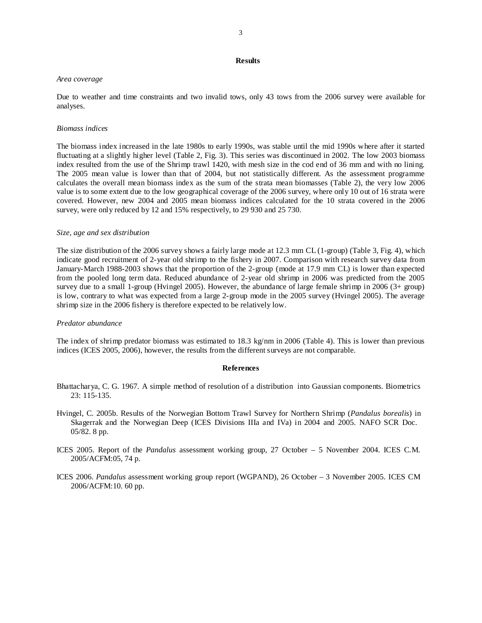## **Results**

#### *Area coverage*

Due to weather and time constraints and two invalid tows, only 43 tows from the 2006 survey were available for analyses.

### *Biomass indices*

The biomass index increased in the late 1980s to early 1990s, was stable until the mid 1990s where after it started fluctuating at a slightly higher level (Table 2, Fig. 3). This series was discontinued in 2002. The low 2003 biomass index resulted from the use of the Shrimp trawl 1420, with mesh size in the cod end of 36 mm and with no lining. The 2005 mean value is lower than that of 2004, but not statistically different. As the assessment programme calculates the overall mean biomass index as the sum of the strata mean biomasses (Table 2), the very low 2006 value is to some extent due to the low geographical coverage of the 2006 survey, where only 10 out of 16 strata were covered. However, new 2004 and 2005 mean biomass indices calculated for the 10 strata covered in the 2006 survey, were only reduced by 12 and 15% respectively, to 29 930 and 25 730.

### *Size, age and sex distribution*

The size distribution of the 2006 survey shows a fairly large mode at 12.3 mm CL (1-group) (Table 3, Fig. 4), which indicate good recruitment of 2-year old shrimp to the fishery in 2007. Comparison with research survey data from January-March 1988-2003 shows that the proportion of the 2-group (mode at 17.9 mm CL) is lower than expected from the pooled long term data. Reduced abundance of 2-year old shrimp in 2006 was predicted from the 2005 survey due to a small 1-group (Hvingel 2005). However, the abundance of large female shrimp in 2006 (3+ group) is low, contrary to what was expected from a large 2-group mode in the 2005 survey (Hvingel 2005). The average shrimp size in the 2006 fishery is therefore expected to be relatively low.

#### *Predator abundance*

The index of shrimp predator biomass was estimated to 18.3 kg/nm in 2006 (Table 4). This is lower than previous indices (ICES 2005, 2006), however, the results from the different surveys are not comparable.

#### **References**

- Bhattacharya, C. G. 1967. A simple method of resolution of a distribution into Gaussian components. Biometrics 23: 115-135.
- Hvingel, C. 2005b. Results of the Norwegian Bottom Trawl Survey for Northern Shrimp (*Pandalus borealis*) in Skagerrak and the Norwegian Deep (ICES Divisions IIIa and IVa) in 2004 and 2005. NAFO SCR Doc. 05/82. 8 pp.
- ICES 2005. Report of the *Pandalus* assessment working group, 27 October 5 November 2004. ICES C.M. 2005/ACFM:05, 74 p.
- ICES 2006. *Pandalus* assessment working group report (WGPAND), 26 October 3 November 2005. ICES CM 2006/ACFM:10. 60 pp.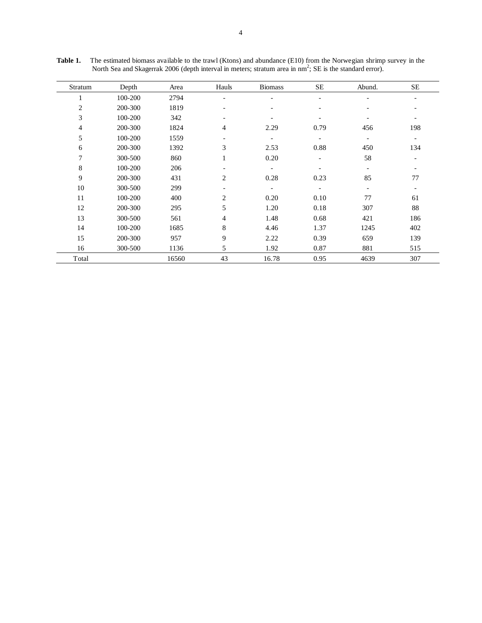| Stratum      | Depth   | Area  | Hauls                    | <b>Biomass</b>           | <b>SE</b>                | Abund.                   | <b>SE</b>                |
|--------------|---------|-------|--------------------------|--------------------------|--------------------------|--------------------------|--------------------------|
| $\mathbf{1}$ | 100-200 | 2794  | $\overline{\phantom{a}}$ |                          | $\overline{\phantom{a}}$ | $\overline{\phantom{a}}$ |                          |
| $\sqrt{2}$   | 200-300 | 1819  | $\overline{\phantom{a}}$ | -                        | $\overline{\phantom{a}}$ | $\overline{\phantom{a}}$ |                          |
| 3            | 100-200 | 342   | $\overline{\phantom{a}}$ | -                        |                          |                          | $\overline{\phantom{a}}$ |
| 4            | 200-300 | 1824  | 4                        | 2.29                     | 0.79                     | 456                      | 198                      |
| 5            | 100-200 | 1559  | $\overline{\phantom{a}}$ | $\overline{\phantom{a}}$ | $\overline{\phantom{0}}$ | $\overline{\phantom{a}}$ | $\overline{\phantom{a}}$ |
| 6            | 200-300 | 1392  | 3                        | 2.53                     | 0.88                     | 450                      | 134                      |
| 7            | 300-500 | 860   | $\mathbf{1}$             | 0.20                     | $\overline{\phantom{a}}$ | 58                       | $\overline{\phantom{a}}$ |
| $\,$ 8 $\,$  | 100-200 | 206   | $\overline{\phantom{a}}$ | $\overline{\phantom{a}}$ |                          | $\overline{\phantom{a}}$ | $\overline{\phantom{a}}$ |
| 9            | 200-300 | 431   | $\overline{c}$           | 0.28                     | 0.23                     | 85                       | 77                       |
| 10           | 300-500 | 299   | $\overline{\phantom{a}}$ | $\overline{\phantom{a}}$ | $\overline{\phantom{a}}$ | $\overline{\phantom{a}}$ | $\overline{\phantom{a}}$ |
| 11           | 100-200 | 400   | 2                        | 0.20                     | 0.10                     | 77                       | 61                       |
| 12           | 200-300 | 295   | 5                        | 1.20                     | 0.18                     | 307                      | 88                       |
| 13           | 300-500 | 561   | $\overline{4}$           | 1.48                     | 0.68                     | 421                      | 186                      |
| 14           | 100-200 | 1685  | 8                        | 4.46                     | 1.37                     | 1245                     | 402                      |
| 15           | 200-300 | 957   | 9                        | 2.22                     | 0.39                     | 659                      | 139                      |
| 16           | 300-500 | 1136  | 5                        | 1.92                     | 0.87                     | 881                      | 515                      |
| Total        |         | 16560 | 43                       | 16.78                    | 0.95                     | 4639                     | 307                      |

Table 1. The estimated biomass available to the trawl (Ktons) and abundance (E10) from the Norwegian shrimp survey in the North Sea and Skagerrak 2006 (depth interval in meters; stratum area in  $nm^2$ ; SE is the standard error).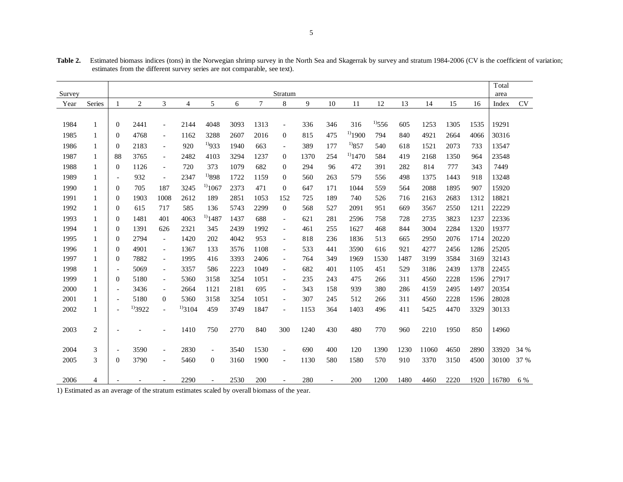| Survey |        |                          |                |                          |                |                          |      |      | Stratum                  |      |                |              |             |      |       |      |      | Total<br>area |      |
|--------|--------|--------------------------|----------------|--------------------------|----------------|--------------------------|------|------|--------------------------|------|----------------|--------------|-------------|------|-------|------|------|---------------|------|
| Year   | Series |                          | $\overline{c}$ | 3                        | $\overline{4}$ | 5                        | 6    | 7    | 8                        | 9    | 10             | 11           | 12          | 13   | 14    | 15   | 16   | Index         | CV   |
|        |        |                          |                |                          |                |                          |      |      |                          |      |                |              |             |      |       |      |      |               |      |
| 1984   | 1      | $\mathbf{0}$             | 2441           | $\blacksquare$           | 2144           | 4048                     | 3093 | 1313 | $\overline{\phantom{a}}$ | 336  | 346            | 316          | $^{1)}$ 556 | 605  | 1253  | 1305 | 1535 | 19291         |      |
| 1985   | 1      | $\mathbf{0}$             | 4768           | $\overline{\phantom{a}}$ | 1162           | 3288                     | 2607 | 2016 | $\mathbf{0}$             | 815  | 475            | $^{1)}$ 1900 | 794         | 840  | 4921  | 2664 | 4066 | 30316         |      |
| 1986   | 1      | $\mathbf{0}$             | 2183           | $\overline{\phantom{a}}$ | 920            | $^{1)}933$               | 1940 | 663  | $\overline{\phantom{a}}$ | 389  | 177            | $^{1)}857$   | 540         | 618  | 1521  | 2073 | 733  | 13547         |      |
| 1987   | 1      | 88                       | 3765           | $\overline{\phantom{a}}$ | 2482           | 4103                     | 3294 | 1237 | $\mathbf{0}$             | 1370 | 254            | $^{1)}$ 1470 | 584         | 419  | 2168  | 1350 | 964  | 23548         |      |
| 1988   | 1      | $\mathbf{0}$             | 1126           | $\overline{\phantom{a}}$ | 720            | 373                      | 1079 | 682  | $\mathbf{0}$             | 294  | 96             | 472          | 391         | 282  | 814   | 777  | 343  | 7449          |      |
| 1989   | 1      | $\overline{\phantom{a}}$ | 932            | $\overline{\phantom{a}}$ | 2347           | $^{1)898}$               | 1722 | 1159 | $\theta$                 | 560  | 263            | 579          | 556         | 498  | 1375  | 1443 | 918  | 13248         |      |
| 1990   | 1      | $\theta$                 | 705            | 187                      | 3245           | $^{1)1067}$              | 2373 | 471  | $\mathbf{0}$             | 647  | 171            | 1044         | 559         | 564  | 2088  | 1895 | 907  | 15920         |      |
| 1991   | 1      | $\theta$                 | 1903           | 1008                     | 2612           | 189                      | 2851 | 1053 | 152                      | 725  | 189            | 740          | 526         | 716  | 2163  | 2683 | 1312 | 18821         |      |
| 1992   | 1      | $\boldsymbol{0}$         | 615            | 717                      | 585            | 136                      | 5743 | 2299 | $\mathbf{0}$             | 568  | 527            | 2091         | 951         | 669  | 3567  | 2550 | 1211 | 22229         |      |
| 1993   | 1      | $\theta$                 | 1481           | 401                      | 4063           | $^{1)}$ 1487             | 1437 | 688  | $\overline{\phantom{a}}$ | 621  | 281            | 2596         | 758         | 728  | 2735  | 3823 | 1237 | 22336         |      |
| 1994   | 1      | $\boldsymbol{0}$         | 1391           | 626                      | 2321           | 345                      | 2439 | 1992 | $\overline{\phantom{a}}$ | 461  | 255            | 1627         | 468         | 844  | 3004  | 2284 | 1320 | 19377         |      |
| 1995   | 1      | $\theta$                 | 2794           | $\overline{\phantom{a}}$ | 1420           | 202                      | 4042 | 953  | $\overline{\phantom{a}}$ | 818  | 236            | 1836         | 513         | 665  | 2950  | 2076 | 1714 | 20220         |      |
| 1996   | 1      | $\boldsymbol{0}$         | 4901           | $\overline{\phantom{a}}$ | 1367           | 133                      | 3576 | 1108 | $\overline{\phantom{a}}$ | 533  | 441            | 3590         | 616         | 921  | 4277  | 2456 | 1286 | 25205         |      |
| 1997   | 1      | $\theta$                 | 7882           | $\overline{\phantom{a}}$ | 1995           | 416                      | 3393 | 2406 | $\overline{\phantom{a}}$ | 764  | 349            | 1969         | 1530        | 1487 | 3199  | 3584 | 3169 | 32143         |      |
| 1998   | 1      | $\overline{\phantom{a}}$ | 5069           | $\overline{\phantom{a}}$ | 3357           | 586                      | 2223 | 1049 | $\overline{\phantom{a}}$ | 682  | 401            | 1105         | 451         | 529  | 3186  | 2439 | 1378 | 22455         |      |
| 1999   | 1      | $\mathbf{0}$             | 5180           | $\overline{\phantom{a}}$ | 5360           | 3158                     | 3254 | 1051 | $\overline{\phantom{a}}$ | 235  | 243            | 475          | 266         | 311  | 4560  | 2228 | 1596 | 27917         |      |
| 2000   | 1      | $\overline{\phantom{a}}$ | 3436           | $\overline{\phantom{a}}$ | 2664           | 1121                     | 2181 | 695  | $\overline{\phantom{a}}$ | 343  | 158            | 939          | 380         | 286  | 4159  | 2495 | 1497 | 20354         |      |
| 2001   |        | $\overline{\phantom{a}}$ | 5180           | $\overline{0}$           | 5360           | 3158                     | 3254 | 1051 | $\overline{\phantom{a}}$ | 307  | 245            | 512          | 266         | 311  | 4560  | 2228 | 1596 | 28028         |      |
| 2002   | 1      | $\overline{\phantom{a}}$ | $^{1)}3922$    | $\overline{\phantom{a}}$ | $^{1/3}3104$   | 459                      | 3749 | 1847 | $\overline{\phantom{a}}$ | 1153 | 364            | 1403         | 496         | 411  | 5425  | 4470 | 3329 | 30133         |      |
|        |        |                          |                |                          |                |                          |      |      |                          |      |                |              |             |      |       |      |      |               |      |
| 2003   | 2      | $\overline{\phantom{a}}$ |                | $\overline{\phantom{a}}$ | 1410           | 750                      | 2770 | 840  | 300                      | 1240 | 430            | 480          | 770         | 960  | 2210  | 1950 | 850  | 14960         |      |
|        |        |                          |                |                          |                |                          |      |      |                          |      |                |              |             |      |       |      |      |               |      |
| 2004   | 3      | $\overline{\phantom{a}}$ | 3590           | $\overline{\phantom{a}}$ | 2830           | $\overline{\phantom{a}}$ | 3540 | 1530 | $\overline{\phantom{a}}$ | 690  | 400            | 120          | 1390        | 1230 | 11060 | 4650 | 2890 | 33920         | 34 % |
| 2005   | 3      | $\Omega$                 | 3790           | $\overline{\phantom{a}}$ | 5460           | $\overline{0}$           | 3160 | 1900 | $\overline{\phantom{a}}$ | 1130 | 580            | 1580         | 570         | 910  | 3370  | 3150 | 4500 | 30100         | 37 % |
|        |        |                          |                |                          |                |                          |      |      |                          |      |                |              |             |      |       |      |      |               |      |
| 2006   | 4      |                          |                |                          | 2290           |                          | 2530 | 200  |                          | 280  | $\overline{a}$ | 200          | 1200        | 1480 | 4460  | 2220 | 1920 | 16780         | 6 %  |

Table 2. Estimated biomass indices (tons) in the Norwegian shrimp survey in the North Sea and Skagerrak by survey and stratum 1984-2006 (CV is the coefficient of variation; estimates from the different survey series are not comparable, see text).

1) Estimated as an average of the stratum estimates scaled by overall biomass of the year.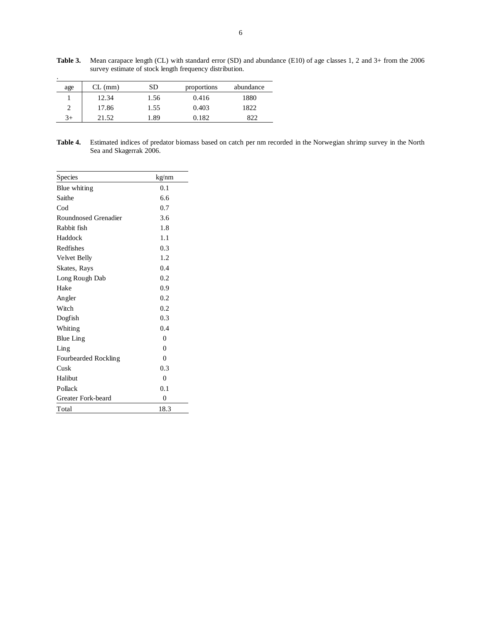| $\cdot$ |           |      |             |           |
|---------|-----------|------|-------------|-----------|
| age     | $CL$ (mm) | SD   | proportions | abundance |
|         | 12.34     | 1.56 | 0.416       | 1880      |
| 2       | 17.86     | 1.55 | 0.403       | 1822      |
| $3+$    | 21.52     | .89  | 0.182       | 822       |

**Table 3.** Mean carapace length (CL) with standard error (SD) and abundance (E10) of age classes 1, 2 and 3+ from the 2006 survey estimate of stock length frequency distribution.

**Table 4.** Estimated indices of predator biomass based on catch per nm recorded in the Norwegian shrimp survey in the North Sea and Skagerrak 2006.

| Species                                    | kg/nm    |
|--------------------------------------------|----------|
| Blue whiting                               | 0.1      |
| Saithe                                     | 6.6      |
| Cod                                        | 0.7      |
| Roundnosed Grenadier                       | 3.6      |
| Rabbit fish                                | 1.8      |
| Haddock                                    | 1.1      |
| Redfishes                                  | 0.3      |
| Velvet Belly                               | 1.2      |
| Skates, Rays                               | 0.4      |
| Long Rough Dab                             | 0.2      |
| Hake                                       | 0.9      |
| Angler                                     | 0.2      |
| Witch                                      | 0.2      |
| Dogfish                                    | 0.3      |
| Whiting                                    | 0.4      |
| Blue Ling                                  | $\Omega$ |
| $\mathop{\rm Lin}\nolimits_{\mathfrak{L}}$ | $\Omega$ |
| Fourbearded Rockling                       | $\theta$ |
| Cusk                                       | 0.3      |
| Halibut                                    | $\theta$ |
| Pollack                                    | 0.1      |
| Greater Fork-beard                         | $\theta$ |
| Total                                      | 18.3     |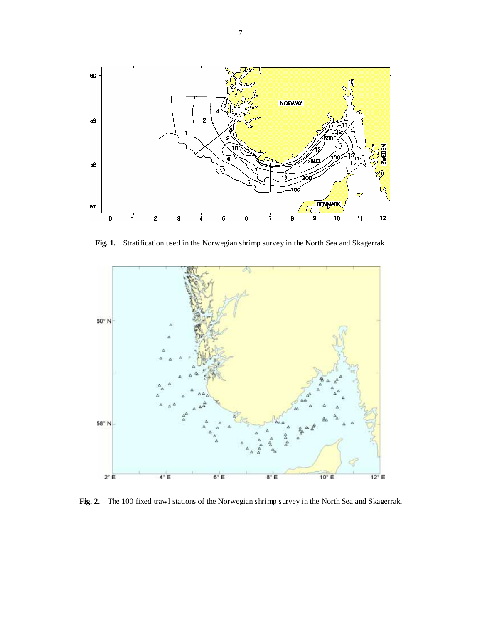

**Fig. 1.** Stratification used in the Norwegian shrimp survey in the North Sea and Skagerrak.



**Fig. 2.** The 100 fixed trawl stations of the Norwegian shrimp survey in the North Sea and Skagerrak.